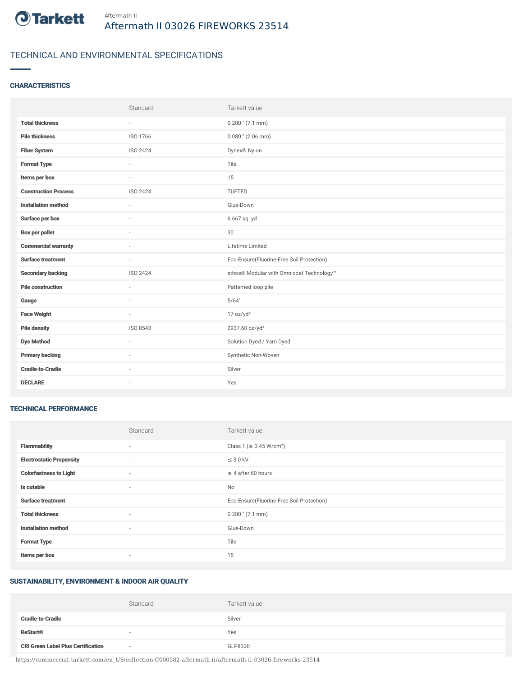

# TECHNICAL AND ENVIRONMENTAL SPECIFICATIONS

#### **CHARACTERISTICS**

| Standard                 | Tarkett value                             |
|--------------------------|-------------------------------------------|
| $\sim$                   | $0.280$ " (7.1 mm)                        |
| ISO 1766                 | $0.080$ " (2.06 mm)                       |
| ISO 2424                 | Dynex <sup>®</sup> Nylon                  |
| $\overline{\phantom{a}}$ | Tile                                      |
| $\sim$                   | 15                                        |
| ISO 2424                 | TUFTED                                    |
| $\sim$                   | Glue-Down                                 |
|                          | 6.667 sq. yd                              |
|                          | $30\,$                                    |
|                          | Lifetime Limited                          |
| $\sim$                   | Eco-Ensure(Fluorine-Free Soil Protection) |
| ISO 2424                 | ethos® Modular with Omnicoat Technology™  |
| $\sim$                   | Patterned loop pile                       |
|                          | 5/64"                                     |
| $\sim$                   | 17 oz/yd <sup>2</sup>                     |
| ISO 8543                 | 2937.60 oz/yd <sup>3</sup>                |
| $\sim$                   | Solution Dyed / Yarn Dyed                 |
|                          | Synthetic Non-Woven                       |
| $\sim$                   | Silver                                    |
| $\sim$                   | Yes                                       |
|                          |                                           |

#### TECHNICAL PERFORMANCE

|                                 | Standard | Tarkett value                             |
|---------------------------------|----------|-------------------------------------------|
| <b>Flammability</b>             | ٠        | Class 1 ( $\geq$ 0.45 W/cm <sup>2</sup> ) |
| <b>Electrostatic Propensity</b> | $\sim$   | $\leq$ 3.0 kV                             |
| <b>Colorfastness to Light</b>   | $\sim$   | $\geq 4$ after 60 hours                   |
| Is cutable                      | $\sim$   | No                                        |
| <b>Surface treatment</b>        | $\sim$   | Eco-Ensure(Fluorine-Free Soil Protection) |
| <b>Total thickness</b>          | $\sim$   | $0.280$ " (7.1 mm)                        |
| <b>Installation method</b>      | $\sim$   | Glue-Down                                 |
| <b>Format Type</b>              | $\sim$   | Tile                                      |
| Items per box                   | $\sim$   | 15                                        |

## SUSTAINABILITY, ENVIRONMENT & INDOOR AIR QUALITY

|                                           | Standard                 | Tarkett value |
|-------------------------------------------|--------------------------|---------------|
| <b>Cradle-to-Cradle</b>                   | $\overline{\phantom{a}}$ | Silver        |
| <b>ReStart®</b>                           |                          | Yes           |
| <b>CRI Green Label Plus Certification</b> | $\sim$                   | GLP8320       |

https://commercial.tarkett.com/en\_US/collection-C000582-aftermath-ii/aftermath-ii-03026-fireworks-23514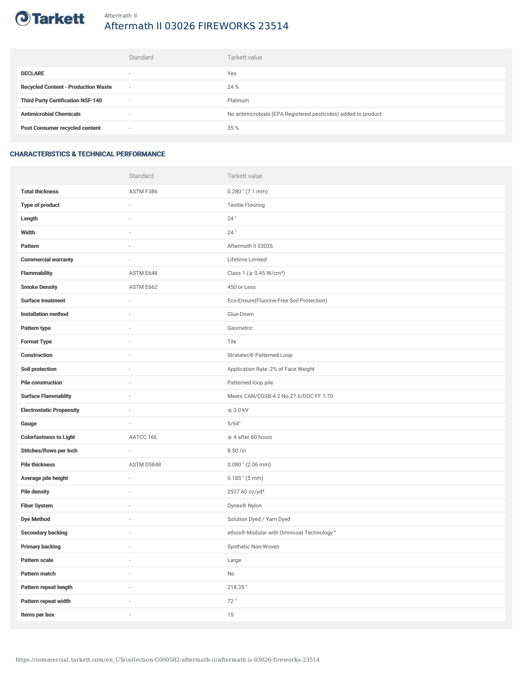

# Aftermath II 03026 FIREWORKS 23514

|                                            | Standard                 | Tarkett value                                                  |
|--------------------------------------------|--------------------------|----------------------------------------------------------------|
| <b>DECLARE</b>                             | $\overline{\phantom{a}}$ | Yes                                                            |
| <b>Recycled Content - Production Waste</b> | $\sim$                   | 24 %                                                           |
| <b>Third Party Certification NSF-140</b>   | $\sim$                   | Platinum                                                       |
| <b>Antimicrobial Chemicals</b>             | ۰                        | No antimicrobials (EPA Registered pesticides) added to product |
| <b>Post Consumer recycled content</b>      | $\sim$                   | 35 %                                                           |

### CHARACTERISTICS & TECHNICAL PERFORMANCE

|                                 | Standard                 | Tarkett value                             |
|---------------------------------|--------------------------|-------------------------------------------|
| <b>Total thickness</b>          | ASTM F386                | $0.280$ " (7.1 mm)                        |
| <b>Type of product</b>          | ä,                       | <b>Textile Flooring</b>                   |
| Length                          |                          | 24"                                       |
| Width                           | $\sim$                   | $24$ "                                    |
| Pattern                         |                          | Aftermath II 03026                        |
| <b>Commercial warranty</b>      |                          | Lifetime Limited                          |
| <b>Flammability</b>             | ASTM E648                | Class 1 (≥ 0.45 W/cm <sup>2</sup> )       |
| <b>Smoke Density</b>            | ASTM E662                | 450 or Less                               |
| <b>Surface treatment</b>        | $\sim$                   | Eco-Ensure(Fluorine-Free Soil Protection) |
| <b>Installation method</b>      | $\sim$                   | Glue-Down                                 |
| Pattern type                    |                          | Geometric                                 |
| <b>Format Type</b>              |                          | Tile                                      |
| <b>Construction</b>             | $\sim$                   | Stratatec <sup>®</sup> Patterned Loop     |
| Soil protection                 |                          | Application Rate: 2% of Face Weight       |
| <b>Pile construction</b>        |                          | Patterned loop pile                       |
| <b>Surface Flammablity</b>      | ×,                       | Meets CAN/CGSB-4.2 No.27.6/DOC FF 1-70    |
| <b>Electrostatic Propensity</b> |                          | $\leq$ 3.0 kV                             |
| Gauge                           | ×,                       | 5/64"                                     |
| <b>Colorfastness to Light</b>   | AATCC 16E                | $\geq 4$ after 60 hours                   |
| <b>Stitches/Rows per Inch</b>   | ä,                       | 8.50 /in                                  |
| <b>Pile thickness</b>           | ASTM D5848               | $0.080$ " (2.06 mm)                       |
| Average pile height             | ×,                       | $0.185$ " $(5 \text{ mm})$                |
| <b>Pile density</b>             |                          | 2937.60 oz/yd <sup>3</sup>                |
| <b>Fiber System</b>             |                          | Dynex® Nylon                              |
| <b>Dye Method</b>               | ×,                       | Solution Dyed / Yarn Dyed                 |
| <b>Secondary backing</b>        |                          | ethos® Modular with Omnicoat Technology™  |
| <b>Primary backing</b>          | $\overline{\phantom{a}}$ | Synthetic Non-Woven                       |
| Pattern scale                   | $\overline{\phantom{a}}$ | Large                                     |
| Pattern match                   | i.                       | $\mathsf{No}$                             |
| Pattern repeat length           |                          | 218.35"                                   |
| Pattern repeat width            | i.                       | 72"                                       |
| Items per box                   | i.                       | 15                                        |